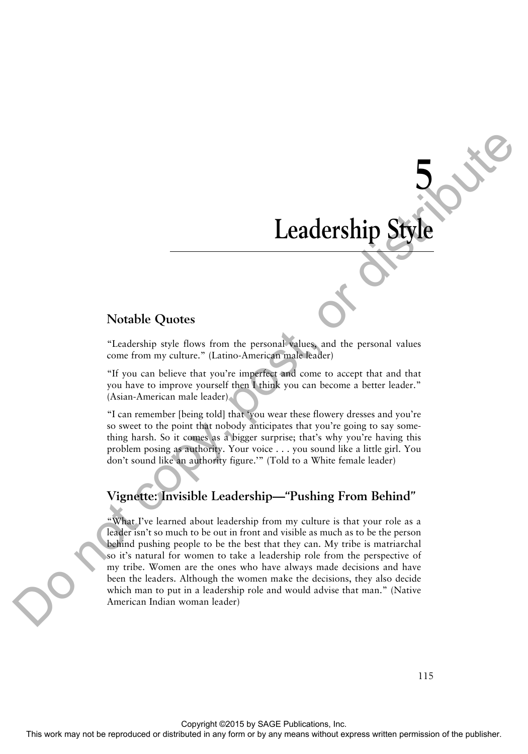# **Leadership Style**

## **Notable Quotes**

"Leadership style flows from the personal values, and the personal values come from my culture." (Latino-American male leader)

"If you can believe that you're imperfect and come to accept that and that you have to improve yourself then I think you can become a better leader." (Asian-American male leader)

"I can remember [being told] that 'you wear these flowery dresses and you're so sweet to the point that nobody anticipates that you're going to say something harsh. So it comes as a bigger surprise; that's why you're having this problem posing as authority. Your voice . . . you sound like a little girl. You don't sound like an authority figure.'" (Told to a White female leader)

# **Vignette: Invisible Leadership—"Pushing From Behind"**

"What I've learned about leadership from my culture is that your role as a leader isn't so much to be out in front and visible as much as to be the person behind pushing people to be the best that they can. My tribe is matriarchal so it's natural for women to take a leadership role from the perspective of my tribe. Women are the ones who have always made decisions and have been the leaders. Although the women make the decisions, they also decide which man to put in a leadership role and would advise that man." (Native American Indian woman leader) **Examples 2**<br>
The contributed or the form of the reproduced or distributed in any form or be reproduced or the reproduced values of the publisher. The company is a company in any the copy of the publisher. The company of



 **5**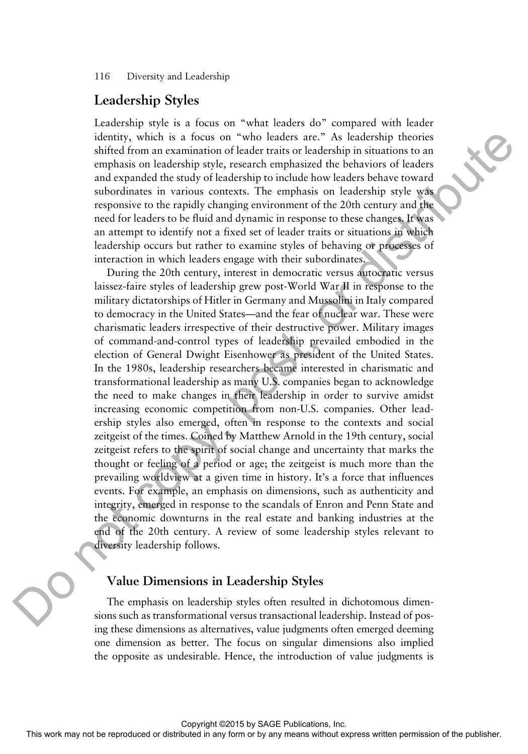# **Leadership Styles**

Leadership style is a focus on "what leaders do" compared with leader identity, which is a focus on "who leaders are." As leadership theories shifted from an examination of leader traits or leadership in situations to an emphasis on leadership style, research emphasized the behaviors of leaders and expanded the study of leadership to include how leaders behave toward subordinates in various contexts. The emphasis on leadership style was responsive to the rapidly changing environment of the 20th century and the need for leaders to be fluid and dynamic in response to these changes. It was an attempt to identify not a fixed set of leader traits or situations in which leadership occurs but rather to examine styles of behaving or processes of interaction in which leaders engage with their subordinates.

During the 20th century, interest in democratic versus autocratic versus laissez-faire styles of leadership grew post-World War II in response to the military dictatorships of Hitler in Germany and Mussolini in Italy compared to democracy in the United States—and the fear of nuclear war. These were charismatic leaders irrespective of their destructive power. Military images of command-and-control types of leadership prevailed embodied in the election of General Dwight Eisenhower as president of the United States. In the 1980s, leadership researchers became interested in charismatic and transformational leadership as many U.S. companies began to acknowledge the need to make changes in their leadership in order to survive amidst increasing economic competition from non-U.S. companies. Other leadership styles also emerged, often in response to the contexts and social zeitgeist of the times. Coined by Matthew Arnold in the 19th century, social zeitgeist refers to the spirit of social change and uncertainty that marks the thought or feeling of a period or age; the zeitgeist is much more than the prevailing worldview at a given time in history. It's a force that influences events. For example, an emphasis on dimensions, such as authenticity and integrity, emerged in response to the scandals of Enron and Penn State and the economic downturns in the real estate and banking industries at the end of the 20th century. A review of some leadership styles relevant to diversity leadership follows. The<br>interior is similar to a form or be represented or distribution in any form or distribution with any form or<br>the representation or between the published in the behavior and dependent<br>of the stationary of the exploriti

#### **Value Dimensions in Leadership Styles**

The emphasis on leadership styles often resulted in dichotomous dimensions such as transformational versus transactional leadership. Instead of posing these dimensions as alternatives, value judgments often emerged deeming one dimension as better. The focus on singular dimensions also implied the opposite as undesirable. Hence, the introduction of value judgments is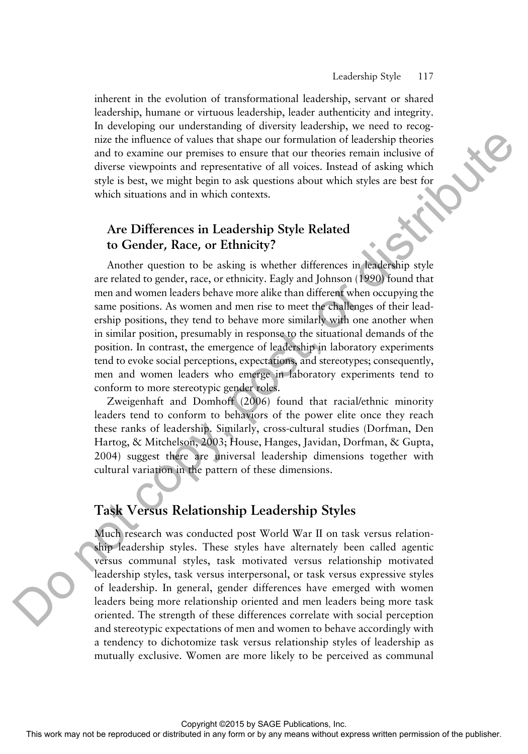inherent in the evolution of transformational leadership, servant or shared leadership, humane or virtuous leadership, leader authenticity and integrity. In developing our understanding of diversity leadership, we need to recognize the influence of values that shape our formulation of leadership theories and to examine our premises to ensure that our theories remain inclusive of diverse viewpoints and representative of all voices. Instead of asking which style is best, we might begin to ask questions about which styles are best for which situations and in which contexts.

# **Are Differences in Leadership Style Related to Gender, Race, or Ethnicity?**

Another question to be asking is whether differences in leadership style are related to gender, race, or ethnicity. Eagly and Johnson (1990) found that men and women leaders behave more alike than different when occupying the same positions. As women and men rise to meet the challenges of their leadership positions, they tend to behave more similarly with one another when in similar position, presumably in response to the situational demands of the position. In contrast, the emergence of leadership in laboratory experiments tend to evoke social perceptions, expectations, and stereotypes; consequently, men and women leaders who emerge in laboratory experiments tend to conform to more stereotypic gender roles.

Zweigenhaft and Domhoff (2006) found that racial/ethnic minority leaders tend to conform to behaviors of the power elite once they reach these ranks of leadership. Similarly, cross-cultural studies (Dorfman, Den Hartog, & Mitchelson, 2003; House, Hanges, Javidan, Dorfman, & Gupta, 2004) suggest there are universal leadership dimensions together with cultural variation in the pattern of these dimensions.

# **Task Versus Relationship Leadership Styles**

Much research was conducted post World War II on task versus relationship leadership styles. These styles have alternately been called agentic versus communal styles, task motivated versus relationship motivated leadership styles, task versus interpersonal, or task versus expressive styles of leadership. In general, gender differences have emerged with women leaders being more relationship oriented and men leaders being more task oriented. The strength of these differences correlate with social perception and stereotypic expectations of men and women to behave accordingly with a tendency to dichotomize task versus relationship styles of leadership as mutually exclusive. Women are more likely to be perceived as communal The inclusions of the continuum of the state in any formulation of the contents with the publisher or distributed in a state or distributed in a state or distributed in a state of the publisher. The state is a state of th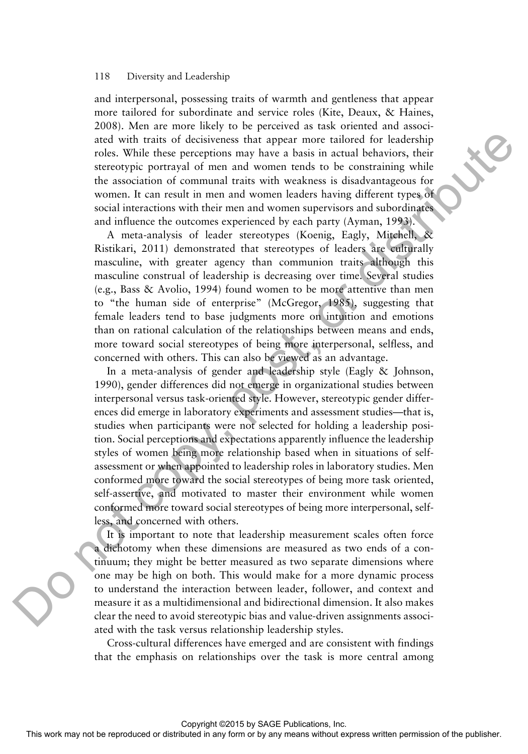and interpersonal, possessing traits of warmth and gentleness that appear more tailored for subordinate and service roles (Kite, Deaux, & Haines, 2008). Men are more likely to be perceived as task oriented and associated with traits of decisiveness that appear more tailored for leadership roles. While these perceptions may have a basis in actual behaviors, their stereotypic portrayal of men and women tends to be constraining while the association of communal traits with weakness is disadvantageous for women. It can result in men and women leaders having different types of social interactions with their men and women supervisors and subordinates and influence the outcomes experienced by each party (Ayman, 1993).

A meta-analysis of leader stereotypes (Koenig, Eagly, Mitchell, & Ristikari, 2011) demonstrated that stereotypes of leaders are culturally masculine, with greater agency than communion traits although this masculine construal of leadership is decreasing over time. Several studies (e.g., Bass & Avolio, 1994) found women to be more attentive than men to "the human side of enterprise" (McGregor, 1985), suggesting that female leaders tend to base judgments more on intuition and emotions than on rational calculation of the relationships between means and ends, more toward social stereotypes of being more interpersonal, selfless, and concerned with others. This can also be viewed as an advantage.

In a meta-analysis of gender and leadership style (Eagly & Johnson, 1990), gender differences did not emerge in organizational studies between interpersonal versus task-oriented style. However, stereotypic gender differences did emerge in laboratory experiments and assessment studies—that is, studies when participants were not selected for holding a leadership position. Social perceptions and expectations apparently influence the leadership styles of women being more relationship based when in situations of selfassessment or when appointed to leadership roles in laboratory studies. Men conformed more toward the social stereotypes of being more task oriented, self-assertive, and motivated to master their environment while women conformed more toward social stereotypes of being more interpersonal, selfless, and concerned with others. not coincid or the representation or distributed or distributed or distributed or the representation of containing which were then any means the state anisotical or between the representation with the containing while the

It is important to note that leadership measurement scales often force a dichotomy when these dimensions are measured as two ends of a continuum; they might be better measured as two separate dimensions where one may be high on both. This would make for a more dynamic process to understand the interaction between leader, follower, and context and measure it as a multidimensional and bidirectional dimension. It also makes clear the need to avoid stereotypic bias and value-driven assignments associated with the task versus relationship leadership styles.

Cross-cultural differences have emerged and are consistent with findings that the emphasis on relationships over the task is more central among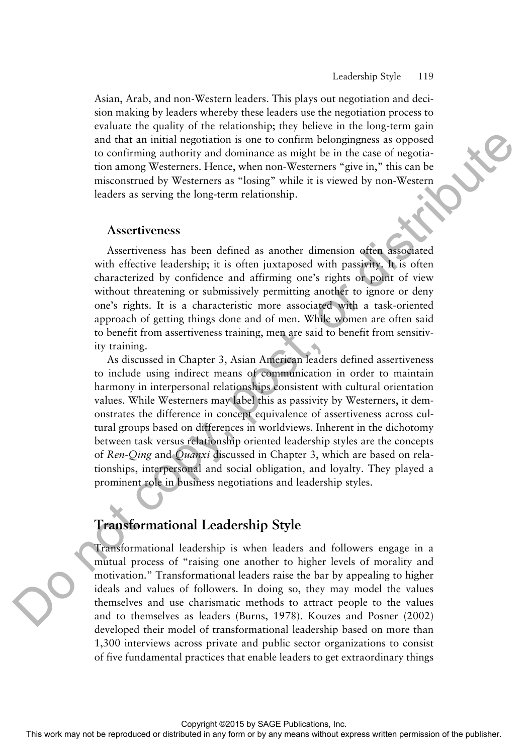Asian, Arab, and non-Western leaders. This plays out negotiation and decision making by leaders whereby these leaders use the negotiation process to evaluate the quality of the relationship; they believe in the long-term gain and that an initial negotiation is one to confirm belongingness as opposed to confirming authority and dominance as might be in the case of negotiation among Westerners. Hence, when non-Westerners "give in," this can be misconstrued by Westerners as "losing" while it is viewed by non-Western leaders as serving the long-term relationship.

#### **Assertiveness**

Assertiveness has been defined as another dimension often associated with effective leadership; it is often juxtaposed with passivity. It is often characterized by confidence and affirming one's rights or point of view without threatening or submissively permitting another to ignore or deny one's rights. It is a characteristic more associated with a task-oriented approach of getting things done and of men. While women are often said to benefit from assertiveness training, men are said to benefit from sensitivity training.

As discussed in Chapter 3, Asian American leaders defined assertiveness to include using indirect means of communication in order to maintain harmony in interpersonal relationships consistent with cultural orientation values. While Westerners may label this as passivity by Westerners, it demonstrates the difference in concept equivalence of assertiveness across cultural groups based on differences in worldviews. Inherent in the dichotomy between task versus relationship oriented leadership styles are the concepts of *Ren-Qing* and *Quanxi* discussed in Chapter 3, which are based on relationships, interpersonal and social obligation, and loyalty. They played a prominent role in business negotiations and leadership styles. The contributed or distributed or distributed or distributed in any first matrix that is the reproduced or distributed in any form or by any means when any means when any means we have a large matrix of the same of the pu

# **Transformational Leadership Style**

Transformational leadership is when leaders and followers engage in a mutual process of "raising one another to higher levels of morality and motivation." Transformational leaders raise the bar by appealing to higher ideals and values of followers. In doing so, they may model the values themselves and use charismatic methods to attract people to the values and to themselves as leaders (Burns, 1978). Kouzes and Posner (2002) developed their model of transformational leadership based on more than 1,300 interviews across private and public sector organizations to consist of five fundamental practices that enable leaders to get extraordinary things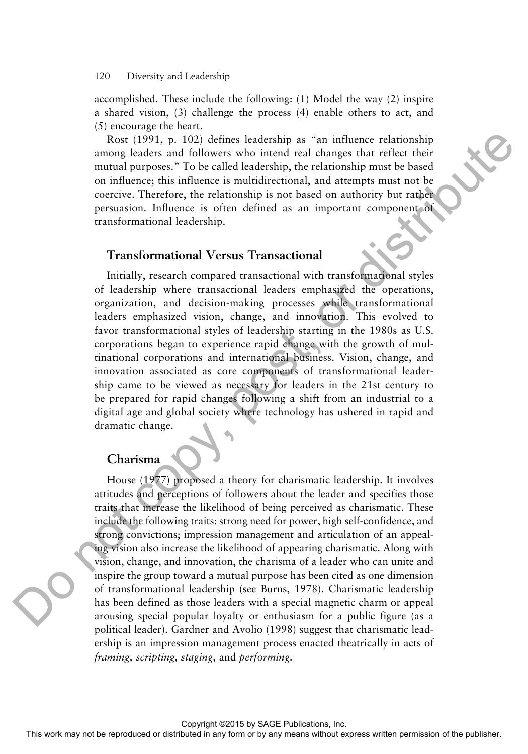accomplished. These include the following: (1) Model the way (2) inspire a shared vision, (3) challenge the process (4) enable others to act, and (5) encourage the heart.

Rost (1991, p. 102) defines leadership as "an influence relationship among leaders and followers who intend real changes that reflect their mutual purposes." To be called leadership, the relationship must be based on influence; this influence is multidirectional, and attempts must not be coercive. Therefore, the relationship is not based on authority but rather persuasion. Influence is often defined as an important component of transformational leadership.

#### **Transformational Versus Transactional**

Initially, research compared transactional with transformational styles of leadership where transactional leaders emphasized the operations, organization, and decision-making processes while transformational leaders emphasized vision, change, and innovation. This evolved to favor transformational styles of leadership starting in the 1980s as U.S. corporations began to experience rapid change with the growth of multinational corporations and international business. Vision, change, and innovation associated as core components of transformational leadership came to be viewed as necessary for leaders in the 21st century to be prepared for rapid changes following a shift from an industrial to a digital age and global society where technology has ushered in rapid and dramatic change.

## **Charisma**

House (1977) proposed a theory for charismatic leadership. It involves attitudes and perceptions of followers about the leader and specifies those traits that increase the likelihood of being perceived as charismatic. These include the following traits: strong need for power, high self-confidence, and strong convictions; impression management and articulation of an appealing vision also increase the likelihood of appearing charismatic. Along with vision, change, and innovation, the charisma of a leader who can unite and inspire the group toward a mutual purpose has been cited as one dimension of transformational leadership (see Burns, 1978). Charismatic leadership has been defined as those leaders with a special magnetic charm or appeal arousing special popular loyalty or enthusiasm for a public figure (as a political leader). Gardner and Avolio (1998) suggest that charismatic leadership is an impression management process enacted theatrically in acts of *framing, scripting, staging,* and *performing.* From the representation of the representation is "an influence celuliconic permission in an any form of the control in any means we have a more than the publisher and publisher and the publisher. The publishers are consid

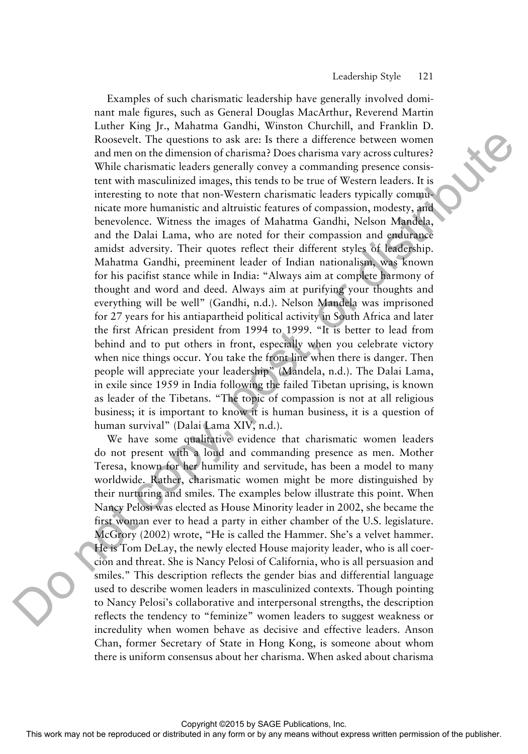Examples of such charismatic leadership have generally involved dominant male figures, such as General Douglas MacArthur, Reverend Martin Luther King Jr., Mahatma Gandhi, Winston Churchill, and Franklin D. Roosevelt. The questions to ask are: Is there a difference between women and men on the dimension of charisma? Does charisma vary across cultures? While charismatic leaders generally convey a commanding presence consistent with masculinized images, this tends to be true of Western leaders. It is interesting to note that non-Western charismatic leaders typically communicate more humanistic and altruistic features of compassion, modesty, and benevolence. Witness the images of Mahatma Gandhi, Nelson Mandela, and the Dalai Lama, who are noted for their compassion and endurance amidst adversity. Their quotes reflect their different styles of leadership. Mahatma Gandhi, preeminent leader of Indian nationalism, was known for his pacifist stance while in India: "Always aim at complete harmony of thought and word and deed. Always aim at purifying your thoughts and everything will be well" (Gandhi, n.d.). Nelson Mandela was imprisoned for 27 years for his antiapartheid political activity in South Africa and later the first African president from 1994 to 1999. "It is better to lead from behind and to put others in front, especially when you celebrate victory when nice things occur. You take the front line when there is danger. Then people will appreciate your leadership" (Mandela, n.d.). The Dalai Lama, in exile since 1959 in India following the failed Tibetan uprising, is known as leader of the Tibetans. "The topic of compassion is not at all religious business; it is important to know it is human business, it is a question of human survival" (Dalai Lama XIV, n.d.). Roosevelt. The quotient may not be a cheap difference by a<br>sympatric contents. While that is maker a permission or the representation of<br>the representation of the publisher and the publisher. The content or<br>the publisher

We have some qualitative evidence that charismatic women leaders do not present with a loud and commanding presence as men. Mother Teresa, known for her humility and servitude, has been a model to many worldwide. Rather, charismatic women might be more distinguished by their nurturing and smiles. The examples below illustrate this point. When Nancy Pelosi was elected as House Minority leader in 2002, she became the first woman ever to head a party in either chamber of the U.S. legislature. McGrory (2002) wrote, "He is called the Hammer. She's a velvet hammer. He is Tom DeLay, the newly elected House majority leader, who is all coercion and threat. She is Nancy Pelosi of California, who is all persuasion and smiles." This description reflects the gender bias and differential language used to describe women leaders in masculinized contexts. Though pointing to Nancy Pelosi's collaborative and interpersonal strengths, the description reflects the tendency to "feminize" women leaders to suggest weakness or incredulity when women behave as decisive and effective leaders. Anson Chan, former Secretary of State in Hong Kong, is someone about whom there is uniform consensus about her charisma. When asked about charisma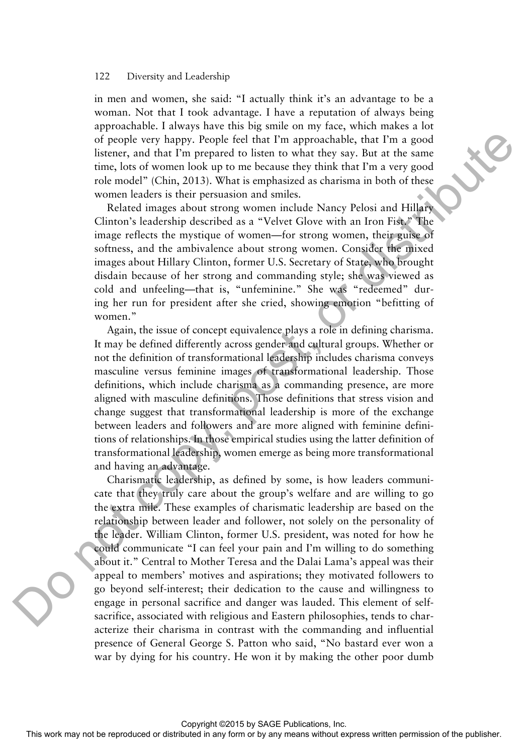in men and women, she said: "I actually think it's an advantage to be a woman. Not that I took advantage. I have a reputation of always being approachable. I always have this big smile on my face, which makes a lot of people very happy. People feel that I'm approachable, that I'm a good listener, and that I'm prepared to listen to what they say. But at the same time, lots of women look up to me because they think that I'm a very good role model" (Chin, 2013). What is emphasized as charisma in both of these women leaders is their persuasion and smiles.

Related images about strong women include Nancy Pelosi and Hillary Clinton's leadership described as a "Velvet Glove with an Iron Fist." The image reflects the mystique of women—for strong women, their guise of softness, and the ambivalence about strong women. Consider the mixed images about Hillary Clinton, former U.S. Secretary of State, who brought disdain because of her strong and commanding style; she was viewed as cold and unfeeling—that is, "unfeminine." She was "redeemed" during her run for president after she cried, showing emotion "befitting of women."

Again, the issue of concept equivalence plays a role in defining charisma. It may be defined differently across gender and cultural groups. Whether or not the definition of transformational leadership includes charisma conveys masculine versus feminine images of transformational leadership. Those definitions, which include charisma as a commanding presence, are more aligned with masculine definitions. Those definitions that stress vision and change suggest that transformational leadership is more of the exchange between leaders and followers and are more aligned with feminine definitions of relationships. In those empirical studies using the latter definition of transformational leadership, women emerge as being more transformational and having an advantage.

Charismatic leadership, as defined by some, is how leaders communicate that they truly care about the group's welfare and are willing to go the extra mile. These examples of charismatic leadership are based on the relationship between leader and follower, not solely on the personality of the leader. William Clinton, former U.S. president, was noted for how he could communicate "I can feel your pain and I'm willing to do something about it." Central to Mother Teresa and the Dalai Lama's appeal was their appeal to members' motives and aspirations; they motivated followers to go beyond self-interest; their dedication to the cause and willingness to engage in personal sacrifice and danger was lauded. This element of selfsacrifice, associated with religious and Eastern philosophies, tends to characterize their charisma in contrast with the commanding and influential presence of General George S. Patton who said, "No bastard ever won a war by dying for his country. He won it by making the other poor dumb or people very language. People in the reproduced or the reproduced or the reproduced or the reproduced or the reproduced in any form or by the reproduced in any form or by an increase the reproduced in a mean sy means th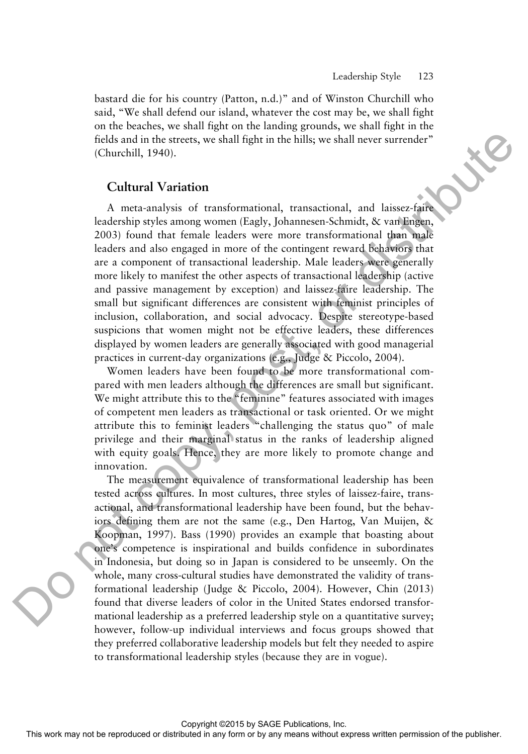bastard die for his country (Patton, n.d.)" and of Winston Churchill who said, "We shall defend our island, whatever the cost may be, we shall fight on the beaches, we shall fight on the landing grounds, we shall fight in the fields and in the streets, we shall fight in the hills; we shall never surrender" (Churchill, 1940).

#### **Cultural Variation**

A meta-analysis of transformational, transactional, and laissez-faire leadership styles among women (Eagly, Johannesen-Schmidt, & van Engen, 2003) found that female leaders were more transformational than male leaders and also engaged in more of the contingent reward behaviors that are a component of transactional leadership. Male leaders were generally more likely to manifest the other aspects of transactional leadership (active and passive management by exception) and laissez-faire leadership. The small but significant differences are consistent with feminist principles of inclusion, collaboration, and social advocacy. Despite stereotype-based suspicions that women might not be effective leaders, these differences displayed by women leaders are generally associated with good managerial practices in current-day organizations (e.g., Judge & Piccolo, 2004).

Women leaders have been found to be more transformational compared with men leaders although the differences are small but significant. We might attribute this to the "feminine" features associated with images of competent men leaders as transactional or task oriented. Or we might attribute this to feminist leaders "challenging the status quo" of male privilege and their marginal status in the ranks of leadership aligned with equity goals. Hence, they are more likely to promote change and innovation.

The measurement equivalence of transformational leadership has been tested across cultures. In most cultures, three styles of laissez-faire, transactional, and transformational leadership have been found, but the behaviors defining them are not the same (e.g., Den Hartog, Van Muijen, & Koopman, 1997). Bass (1990) provides an example that boasting about one's competence is inspirational and builds confidence in subordinates in Indonesia, but doing so in Japan is considered to be unseemly. On the whole, many cross-cultural studies have demonstrated the validity of transformational leadership (Judge & Piccolo, 2004). However, Chin (2013) found that diverse leaders of color in the United States endorsed transformational leadership as a preferred leadership style on a quantitative survey; however, follow-up individual interviews and focus groups showed that they preferred collaborative leadership models but felt they needed to aspire to transformational leadership styles (because they are in vogue). This work may not be reproduced or distributed in any form or be reproduced in any form or be reproduced or the reproduced or the publisher and the publisher and the publisher and the publisher and the publisher and the p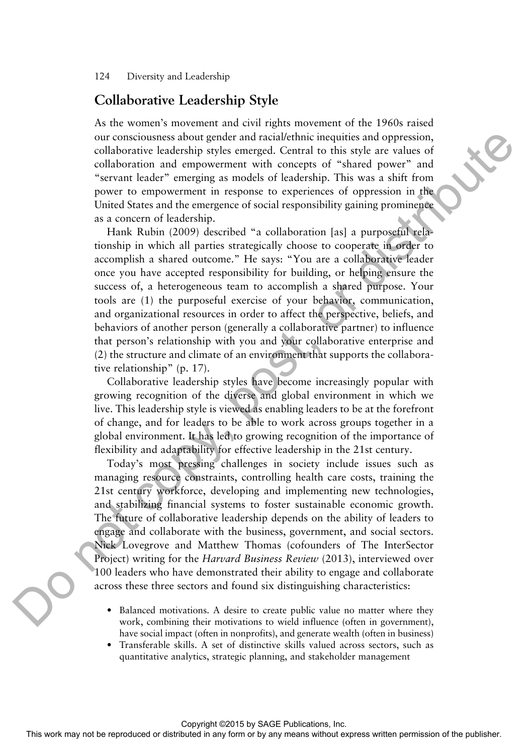# **Collaborative Leadership Style**

As the women's movement and civil rights movement of the 1960s raised our consciousness about gender and racial/ethnic inequities and oppression, collaborative leadership styles emerged. Central to this style are values of collaboration and empowerment with concepts of "shared power" and "servant leader" emerging as models of leadership. This was a shift from power to empowerment in response to experiences of oppression in the United States and the emergence of social responsibility gaining prominence as a concern of leadership.

Hank Rubin (2009) described "a collaboration [as] a purposeful relationship in which all parties strategically choose to cooperate in order to accomplish a shared outcome." He says: "You are a collaborative leader once you have accepted responsibility for building, or helping ensure the success of, a heterogeneous team to accomplish a shared purpose. Your tools are (1) the purposeful exercise of your behavior, communication, and organizational resources in order to affect the perspective, beliefs, and behaviors of another person (generally a collaborative partner) to influence that person's relationship with you and your collaborative enterprise and (2) the structure and climate of an environment that supports the collaborative relationship" (p. 17). or constitution and computed or distribute inequitions in all presents with the constraints of the same or "but any form or "but any form or by any means of the computed in the publisher and computed in a mean of the publ

Collaborative leadership styles have become increasingly popular with growing recognition of the diverse and global environment in which we live. This leadership style is viewed as enabling leaders to be at the forefront of change, and for leaders to be able to work across groups together in a global environment. It has led to growing recognition of the importance of flexibility and adaptability for effective leadership in the 21st century.

Today's most pressing challenges in society include issues such as managing resource constraints, controlling health care costs, training the 21st century workforce, developing and implementing new technologies, and stabilizing financial systems to foster sustainable economic growth. The future of collaborative leadership depends on the ability of leaders to engage and collaborate with the business, government, and social sectors. Nick Lovegrove and Matthew Thomas (cofounders of The InterSector Project) writing for the *Harvard Business Review* (2013), interviewed over 100 leaders who have demonstrated their ability to engage and collaborate across these three sectors and found six distinguishing characteristics:

- Balanced motivations. A desire to create public value no matter where they work, combining their motivations to wield influence (often in government), have social impact (often in nonprofits), and generate wealth (often in business)
- Transferable skills. A set of distinctive skills valued across sectors, such as quantitative analytics, strategic planning, and stakeholder management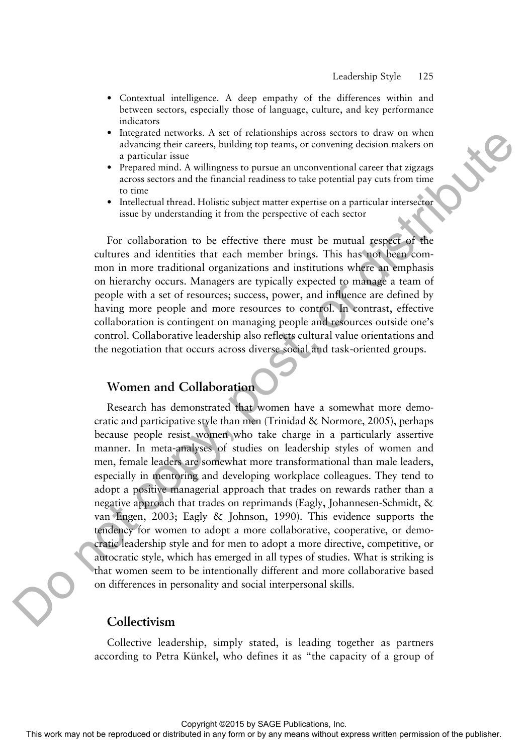- Contextual intelligence. A deep empathy of the differences within and between sectors, especially those of language, culture, and key performance indicators
- Integrated networks. A set of relationships across sectors to draw on when advancing their careers, building top teams, or convening decision makers on a particular issue
- Prepared mind. A willingness to pursue an unconventional career that zigzags across sectors and the financial readiness to take potential pay cuts from time to time
- Intellectual thread. Holistic subject matter expertise on a particular intersector issue by understanding it from the perspective of each sector

For collaboration to be effective there must be mutual respect of the cultures and identities that each member brings. This has not been common in more traditional organizations and institutions where an emphasis on hierarchy occurs. Managers are typically expected to manage a team of people with a set of resources; success, power, and influence are defined by having more people and more resources to control. In contrast, effective collaboration is contingent on managing people and resources outside one's control. Collaborative leadership also reflects cultural value orientations and the negotiation that occurs across diverse social and task-oriented groups.

## **Women and Collaboration**

Research has demonstrated that women have a somewhat more democratic and participative style than men (Trinidad & Normore, 2005), perhaps because people resist women who take charge in a particularly assertive manner. In meta-analyses of studies on leadership styles of women and men, female leaders are somewhat more transformational than male leaders, especially in mentoring and developing workplace colleagues. They tend to adopt a positive managerial approach that trades on rewards rather than a negative approach that trades on reprimands (Eagly, Johannesen-Schmidt, & van Engen, 2003; Eagly & Johnson, 1990). This evidence supports the tendency for women to adopt a more collaborative, cooperative, or democratic leadership style and for men to adopt a more directive, competitive, or autocratic style, which has emerged in all types of studies. What is striking is that women seem to be intentionally different and more collaborative based on differences in personality and social interpersonal skills. The means that the state or the reproduced in a some state of the publisher or distributed in the reproduced in any form or by any means were any means were any means were allowed in a subject to the best means were allow

#### **Collectivism**

Collective leadership, simply stated, is leading together as partners according to Petra Künkel, who defines it as "the capacity of a group of

Copyright ©2015 by SAGE Publications, Inc.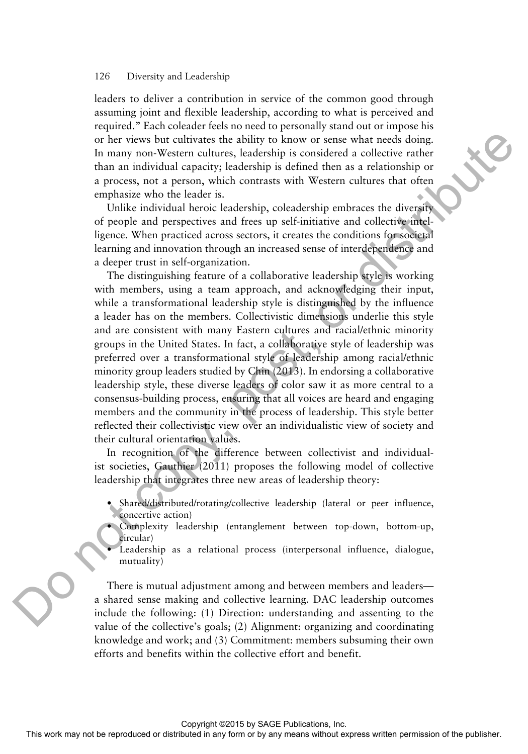leaders to deliver a contribution in service of the common good through assuming joint and flexible leadership, according to what is perceived and required." Each coleader feels no need to personally stand out or impose his or her views but cultivates the ability to know or sense what needs doing. In many non-Western cultures, leadership is considered a collective rather than an individual capacity; leadership is defined then as a relationship or a process, not a person, which contrasts with Western cultures that often emphasize who the leader is.

Unlike individual heroic leadership, coleadership embraces the diversity of people and perspectives and frees up self-initiative and collective intelligence. When practiced across sectors, it creates the conditions for societal learning and innovation through an increased sense of interdependence and a deeper trust in self-organization.

The distinguishing feature of a collaborative leadership style is working with members, using a team approach, and acknowledging their input, while a transformational leadership style is distinguished by the influence a leader has on the members. Collectivistic dimensions underlie this style and are consistent with many Eastern cultures and racial/ethnic minority groups in the United States. In fact, a collaborative style of leadership was preferred over a transformational style of leadership among racial/ethnic minority group leaders studied by Chin (2013). In endorsing a collaborative leadership style, these diverse leaders of color saw it as more central to a consensus-building process, ensuring that all voices are heard and engaging members and the community in the process of leadership. This style better reflected their collectivistic view over an individualistic view of society and their cultural orientation values. Or her rivers in a distributed in an individual map is the result of the reproduced or distributed in a meta-<br>statistical map is detected in a meta-publisher in a reduced or permission of the publisher. Change of the publ

In recognition of the difference between collectivist and individualist societies, Gauthier (2011) proposes the following model of collective leadership that integrates three new areas of leadership theory:

- Shared/distributed/rotating/collective leadership (lateral or peer influence, concertive action)
- Complexity leadership (entanglement between top-down, bottom-up, circular)
- Leadership as a relational process (interpersonal influence, dialogue, mutuality)

There is mutual adjustment among and between members and leaders a shared sense making and collective learning. DAC leadership outcomes include the following: (1) Direction: understanding and assenting to the value of the collective's goals; (2) Alignment: organizing and coordinating knowledge and work; and (3) Commitment: members subsuming their own efforts and benefits within the collective effort and benefit.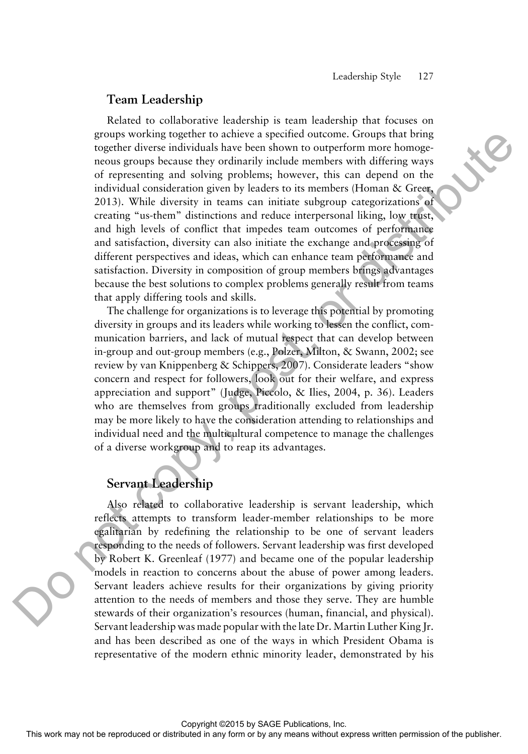#### **Team Leadership**

Related to collaborative leadership is team leadership that focuses on groups working together to achieve a specified outcome. Groups that bring together diverse individuals have been shown to outperform more homogeneous groups because they ordinarily include members with differing ways of representing and solving problems; however, this can depend on the individual consideration given by leaders to its members (Homan & Greer, 2013). While diversity in teams can initiate subgroup categorizations of creating "us-them" distinctions and reduce interpersonal liking, low trust, and high levels of conflict that impedes team outcomes of performance and satisfaction, diversity can also initiate the exchange and processing of different perspectives and ideas, which can enhance team performance and satisfaction. Diversity in composition of group members brings advantages because the best solutions to complex problems generally result from teams that apply differing tools and skills. group was work may not be reproduced or the reproduced or distributed in any form or the publisher any form or the publisher any form or the publisher any form or the publisher and the publisher. The publisher and the publ

The challenge for organizations is to leverage this potential by promoting diversity in groups and its leaders while working to lessen the conflict, communication barriers, and lack of mutual respect that can develop between in-group and out-group members (e.g., Polzer, Milton, & Swann, 2002; see review by van Knippenberg & Schippers, 2007). Considerate leaders "show concern and respect for followers, look out for their welfare, and express appreciation and support" (Judge, Piccolo, & Ilies, 2004, p. 36). Leaders who are themselves from groups traditionally excluded from leadership may be more likely to have the consideration attending to relationships and individual need and the multicultural competence to manage the challenges of a diverse workgroup and to reap its advantages.

### **Servant Leadership**

Also related to collaborative leadership is servant leadership, which reflects attempts to transform leader-member relationships to be more egalitarian by redefining the relationship to be one of servant leaders responding to the needs of followers. Servant leadership was first developed by Robert K. Greenleaf (1977) and became one of the popular leadership models in reaction to concerns about the abuse of power among leaders. Servant leaders achieve results for their organizations by giving priority attention to the needs of members and those they serve. They are humble stewards of their organization's resources (human, financial, and physical). Servant leadership was made popular with the late Dr. Martin Luther King Jr. and has been described as one of the ways in which President Obama is representative of the modern ethnic minority leader, demonstrated by his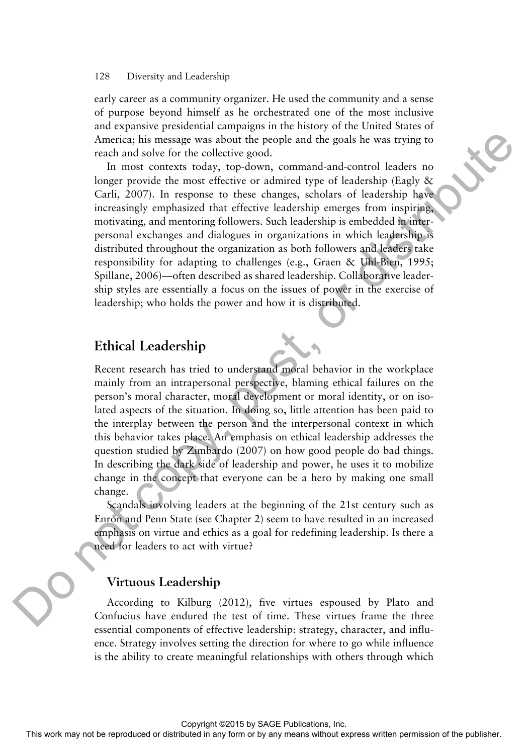early career as a community organizer. He used the community and a sense of purpose beyond himself as he orchestrated one of the most inclusive and expansive presidential campaigns in the history of the United States of America; his message was about the people and the goals he was trying to reach and solve for the collective good.

In most contexts today, top-down, command-and-control leaders no longer provide the most effective or admired type of leadership (Eagly & Carli, 2007). In response to these changes, scholars of leadership have increasingly emphasized that effective leadership emerges from inspiring, motivating, and mentoring followers. Such leadership is embedded in interpersonal exchanges and dialogues in organizations in which leadership is distributed throughout the organization as both followers and leaders take responsibility for adapting to challenges (e.g., Graen & Uhl-Bien, 1995; Spillane, 2006)—often described as shared leadership. Collaborative leadership styles are essentially a focus on the issues of power in the exercise of leadership; who holds the power and how it is distributed. America; bis measure was about the pople and the goals he was trying to<br>
In anot contrast malay, top-down, command-canternal canders mo<br>
League Trovids the more tierative or administration of the calculation<br>
League 2001.

## **Ethical Leadership**

Recent research has tried to understand moral behavior in the workplace mainly from an intrapersonal perspective, blaming ethical failures on the person's moral character, moral development or moral identity, or on isolated aspects of the situation. In doing so, little attention has been paid to the interplay between the person and the interpersonal context in which this behavior takes place. An emphasis on ethical leadership addresses the question studied by Zimbardo (2007) on how good people do bad things. In describing the dark side of leadership and power, he uses it to mobilize change in the concept that everyone can be a hero by making one small change.

Scandals involving leaders at the beginning of the 21st century such as Enron and Penn State (see Chapter 2) seem to have resulted in an increased emphasis on virtue and ethics as a goal for redefining leadership. Is there a need for leaders to act with virtue?

#### **Virtuous Leadership**

According to Kilburg (2012), five virtues espoused by Plato and Confucius have endured the test of time. These virtues frame the three essential components of effective leadership: strategy, character, and influence. Strategy involves setting the direction for where to go while influence is the ability to create meaningful relationships with others through which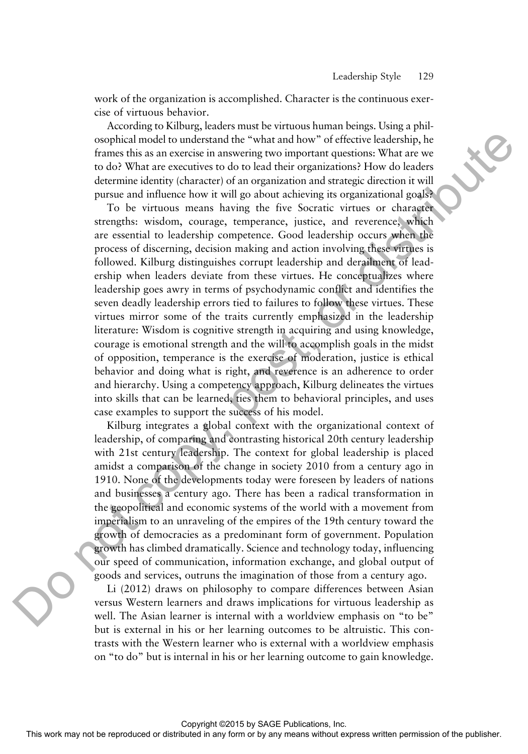work of the organization is accomplished. Character is the continuous exercise of virtuous behavior.

According to Kilburg, leaders must be virtuous human beings. Using a philosophical model to understand the "what and how" of effective leadership, he frames this as an exercise in answering two important questions: What are we to do? What are executives to do to lead their organizations? How do leaders determine identity (character) of an organization and strategic direction it will pursue and influence how it will go about achieving its organizational goals?

To be virtuous means having the five Socratic virtues or character strengths: wisdom, courage, temperance, justice, and reverence, which are essential to leadership competence. Good leadership occurs when the process of discerning, decision making and action involving these virtues is followed. Kilburg distinguishes corrupt leadership and derailment of leadership when leaders deviate from these virtues. He conceptualizes where leadership goes awry in terms of psychodynamic conflict and identifies the seven deadly leadership errors tied to failures to follow these virtues. These virtues mirror some of the traits currently emphasized in the leadership literature: Wisdom is cognitive strength in acquiring and using knowledge, courage is emotional strength and the will to accomplish goals in the midst of opposition, temperance is the exercise of moderation, justice is ethical behavior and doing what is right, and reverence is an adherence to order and hierarchy. Using a competency approach, Kilburg delineates the virtues into skills that can be learned, ties them to behavioral principles, and uses case examples to support the success of his model. cooplished models complex may not be reproduced or distributed index in a control or distributed or do the reproduced in any form or distributed in any form or distributed in any means of the any form of the serection of

Kilburg integrates a global context with the organizational context of leadership, of comparing and contrasting historical 20th century leadership with 21st century leadership. The context for global leadership is placed amidst a comparison of the change in society 2010 from a century ago in 1910. None of the developments today were foreseen by leaders of nations and businesses a century ago. There has been a radical transformation in the geopolitical and economic systems of the world with a movement from imperialism to an unraveling of the empires of the 19th century toward the growth of democracies as a predominant form of government. Population growth has climbed dramatically. Science and technology today, influencing our speed of communication, information exchange, and global output of goods and services, outruns the imagination of those from a century ago.

Li (2012) draws on philosophy to compare differences between Asian versus Western learners and draws implications for virtuous leadership as well. The Asian learner is internal with a worldview emphasis on "to be" but is external in his or her learning outcomes to be altruistic. This contrasts with the Western learner who is external with a worldview emphasis on "to do" but is internal in his or her learning outcome to gain knowledge.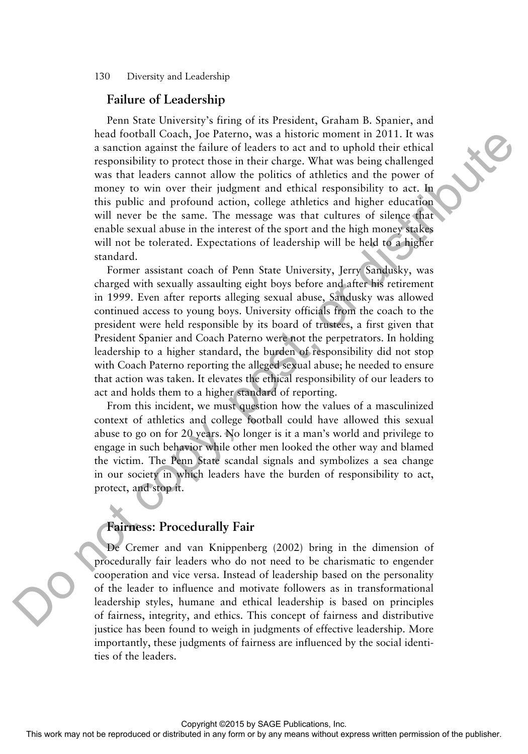## **Failure of Leadership**

Penn State University's firing of its President, Graham B. Spanier, and head football Coach, Joe Paterno, was a historic moment in 2011. It was a sanction against the failure of leaders to act and to uphold their ethical responsibility to protect those in their charge. What was being challenged was that leaders cannot allow the politics of athletics and the power of money to win over their judgment and ethical responsibility to act. In this public and profound action, college athletics and higher education will never be the same. The message was that cultures of silence that enable sexual abuse in the interest of the sport and the high money stakes will not be tolerated. Expectations of leadership will be held to a higher standard.

Former assistant coach of Penn State University, Jerry Sandusky, was charged with sexually assaulting eight boys before and after his retirement in 1999. Even after reports alleging sexual abuse, Sandusky was allowed continued access to young boys. University officials from the coach to the president were held responsible by its board of trustees, a first given that President Spanier and Coach Paterno were not the perpetrators. In holding leadership to a higher standard, the burden of responsibility did not stop with Coach Paterno reporting the alleged sexual abuse; he needed to ensure that action was taken. It elevates the ethical responsibility of our leaders to act and holds them to a higher standard of reporting. Fract may not be reproduced or the reproduced or the reproduced or the reproduced or the reproduced or distributed or the reproduced or the reproduced or the rest of the publisher of the publisher. The rest was not be rep

From this incident, we must question how the values of a masculinized context of athletics and college football could have allowed this sexual abuse to go on for 20 years. No longer is it a man's world and privilege to engage in such behavior while other men looked the other way and blamed the victim. The Penn State scandal signals and symbolizes a sea change in our society in which leaders have the burden of responsibility to act, protect, and stop it.

## **Fairness: Procedurally Fair**

De Cremer and van Knippenberg (2002) bring in the dimension of procedurally fair leaders who do not need to be charismatic to engender cooperation and vice versa. Instead of leadership based on the personality of the leader to influence and motivate followers as in transformational leadership styles, humane and ethical leadership is based on principles of fairness, integrity, and ethics. This concept of fairness and distributive justice has been found to weigh in judgments of effective leadership. More importantly, these judgments of fairness are influenced by the social identities of the leaders.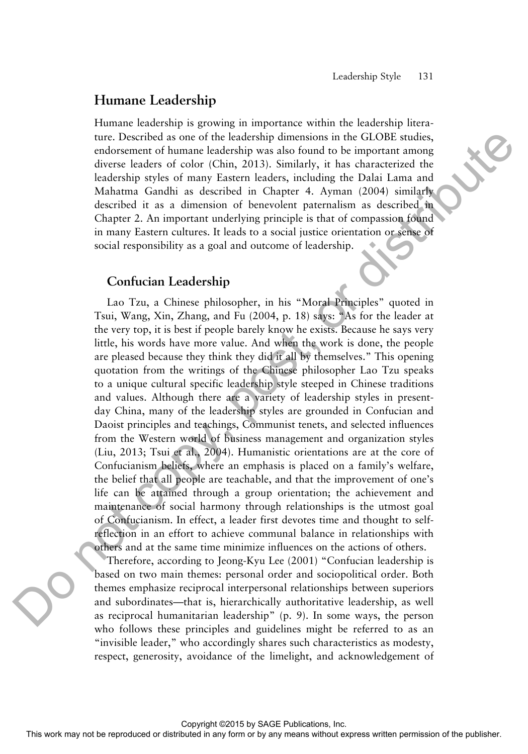## **Humane Leadership**

Humane leadership is growing in importance within the leadership literature. Described as one of the leadership dimensions in the GLOBE studies, endorsement of humane leadership was also found to be important among diverse leaders of color (Chin, 2013). Similarly, it has characterized the leadership styles of many Eastern leaders, including the Dalai Lama and Mahatma Gandhi as described in Chapter 4. Ayman (2004) similarly described it as a dimension of benevolent paternalism as described in Chapter 2. An important underlying principle is that of compassion found in many Eastern cultures. It leads to a social justice orientation or sense of social responsibility as a goal and outcome of leadership.

#### **Confucian Leadership**

Lao Tzu, a Chinese philosopher, in his "Moral Principles" quoted in Tsui, Wang, Xin, Zhang, and Fu (2004, p. 18) says: "As for the leader at the very top, it is best if people barely know he exists. Because he says very little, his words have more value. And when the work is done, the people are pleased because they think they did it all by themselves." This opening quotation from the writings of the Chinese philosopher Lao Tzu speaks to a unique cultural specific leadership style steeped in Chinese traditions and values. Although there are a variety of leadership styles in presentday China, many of the leadership styles are grounded in Confucian and Daoist principles and teachings, Communist tenets, and selected influences from the Western world of business management and organization styles (Liu, 2013; Tsui et al., 2004). Humanistic orientations are at the core of Confucianism beliefs, where an emphasis is placed on a family's welfare, the belief that all people are teachable, and that the improvement of one's life can be attained through a group orientation; the achievement and maintenance of social harmony through relationships is the utmost goal of Confucianism. In effect, a leader first devotes time and thought to selfreflection in an effort to achieve communal balance in relationships with others and at the same time minimize influences on the actions of others. trace. Doservicted as come of the leadstonial political interaction in the GLOBE scaling and the result of the publisher, it is a state for the publisher of the publisher. This without express the comparison of the publis

Therefore, according to Jeong-Kyu Lee (2001) "Confucian leadership is based on two main themes: personal order and sociopolitical order. Both themes emphasize reciprocal interpersonal relationships between superiors and subordinates—that is, hierarchically authoritative leadership, as well as reciprocal humanitarian leadership" (p. 9). In some ways, the person who follows these principles and guidelines might be referred to as an "invisible leader," who accordingly shares such characteristics as modesty, respect, generosity, avoidance of the limelight, and acknowledgement of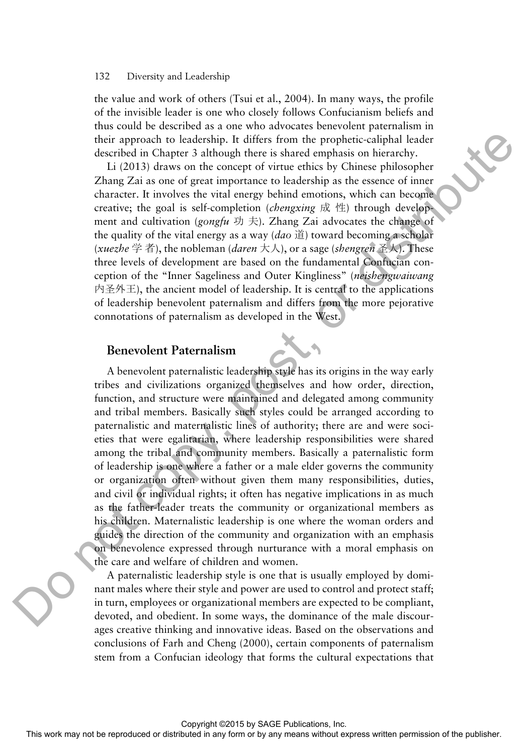the value and work of others (Tsui et al., 2004). In many ways, the profile of the invisible leader is one who closely follows Confucianism beliefs and thus could be described as a one who advocates benevolent paternalism in their approach to leadership. It differs from the prophetic-caliphal leader described in Chapter 3 although there is shared emphasis on hierarchy.

Li (2013) draws on the concept of virtue ethics by Chinese philosopher Zhang Zai as one of great importance to leadership as the essence of inner character. It involves the vital energy behind emotions, which can become creative; the goal is self-completion (*chengxing* 成性) through development and cultivation (*gongfu* 功夫). Zhang Zai advocates the change of the quality of the vital energy as a way (*dao* 道) toward becoming a scholar (*xuezhe* 学 者), the nobleman (*daren* 大人), or a sage (*shengren* 圣人). These three levels of development are based on the fundamental Confucian conception of the "Inner Sageliness and Outer Kingliness" ( *neishengwaiwang* 内圣外王), the ancient model of leadership. It is central to the applications of leadership benevolent paternalism and differs from the more pejorative connotations of paternalism as developed in the West.

#### **Benevolent Paternalism**

A benevolent paternalistic leadership style has its origins in the way early tribes and civilizations organized themselves and how order, direction, function, and structure were maintained and delegated among community and tribal members. Basically such styles could be arranged according to paternalistic and maternalistic lines of authority; there are and were societies that were egalitarian, where leadership responsibilities were shared among the tribal and community members. Basically a paternalistic form of leadership is one where a father or a male elder governs the community or organization often without given them many responsibilities, duties, and civil or individual rights; it often has negative implications in as much as the father-leader treats the community or organizational members as his children. Maternalistic leadership is one where the woman orders and guides the direction of the community and organization with an emphasis on benevolence expressed through nurturance with a moral emphasis on the care and welfare of children and women. their approach to charge the reproduced or distributed in<br>the reproduced in the reproduced or the state of the state of the state or<br>Fig. 2013 any of the state can be reproduced to the state or distributed<br>permission or b

A paternalistic leadership style is one that is usually employed by dominant males where their style and power are used to control and protect staff; in turn, employees or organizational members are expected to be compliant, devoted, and obedient. In some ways, the dominance of the male discourages creative thinking and innovative ideas. Based on the observations and conclusions of Farh and Cheng (2000), certain components of paternalism stem from a Confucian ideology that forms the cultural expectations that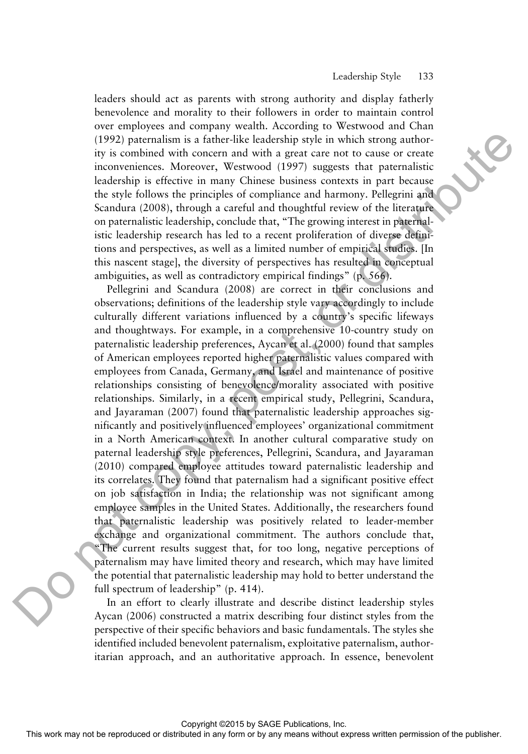leaders should act as parents with strong authority and display fatherly benevolence and morality to their followers in order to maintain control over employees and company wealth. According to Westwood and Chan (1992) paternalism is a father-like leadership style in which strong authority is combined with concern and with a great care not to cause or create inconveniences. Moreover, Westwood (1997) suggests that paternalistic leadership is effective in many Chinese business contexts in part because the style follows the principles of compliance and harmony. Pellegrini and Scandura (2008), through a careful and thoughtful review of the literature on paternalistic leadership, conclude that, "The growing interest in paternalistic leadership research has led to a recent proliferation of diverse definitions and perspectives, as well as a limited number of empirical studies. [In this nascent stage], the diversity of perspectives has resulted in conceptual ambiguities, as well as contradictory empirical findings" (p. 566).

Pellegrini and Scandura (2008) are correct in their conclusions and observations; definitions of the leadership style vary accordingly to include culturally different variations influenced by a country's specific lifeways and thoughtways. For example, in a comprehensive 10-country study on paternalistic leadership preferences, Aycan et al. (2000) found that samples of American employees reported higher paternalistic values compared with employees from Canada, Germany, and Israel and maintenance of positive relationships consisting of benevolence/morality associated with positive relationships. Similarly, in a recent empirical study, Pellegrini, Scandura, and Jayaraman (2007) found that paternalistic leadership approaches significantly and positively influenced employees' organizational commitment in a North American context. In another cultural comparative study on paternal leadership style preferences, Pellegrini, Scandura, and Jayaraman (2010) compared employee attitudes toward paternalistic leadership and its correlates. They found that paternalism had a significant positive effect on job satisfaction in India; the relationship was not significant among employee samples in the United States. Additionally, the researchers found that paternalistic leadership was positively related to leader-member exchange and organizational commitment. The authors conclude that, "The current results suggest that, for too long, negative perceptions of paternalism may have limited theory and research, which may have limited the potential that paternalistic leadership may hold to better understand the full spectrum of leadership" (p. 414). THE is a controlled or the relationship or the whole strong and<br>or the publishering or the representation of the representation or distributed in the stributed in the stributed in the stributed in the stributed in the str

In an effort to clearly illustrate and describe distinct leadership styles Aycan (2006) constructed a matrix describing four distinct styles from the perspective of their specific behaviors and basic fundamentals. The styles she identified included benevolent paternalism, exploitative paternalism, authoritarian approach, and an authoritative approach. In essence, benevolent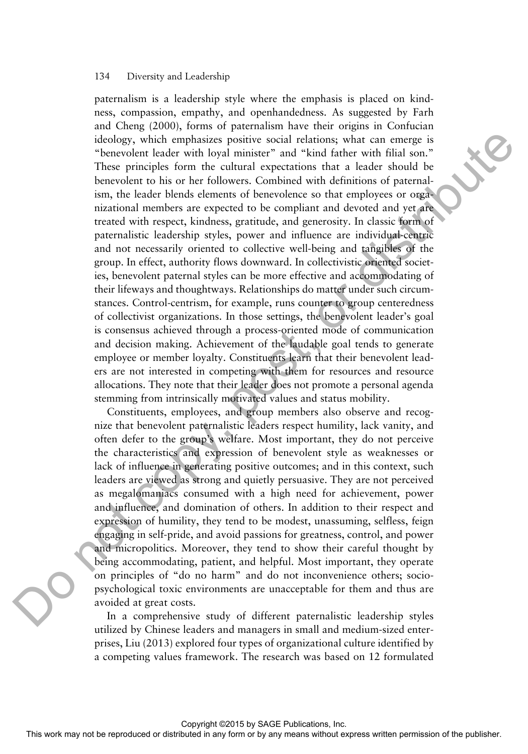paternalism is a leadership style where the emphasis is placed on kindness, compassion, empathy, and openhandedness. As suggested by Farh and Cheng (2000), forms of paternalism have their origins in Confucian ideology, which emphasizes positive social relations; what can emerge is "benevolent leader with loyal minister" and "kind father with filial son." These principles form the cultural expectations that a leader should be benevolent to his or her followers. Combined with definitions of paternalism, the leader blends elements of benevolence so that employees or organizational members are expected to be compliant and devoted and yet are treated with respect, kindness, gratitude, and generosity. In classic form of paternalistic leadership styles, power and influence are individual-centric and not necessarily oriented to collective well-being and tangibles of the group. In effect, authority flows downward. In collectivistic oriented societies, benevolent paternal styles can be more effective and accommodating of their lifeways and thoughtways. Relationships do matter under such circumstances. Control-centrism, for example, runs counter to group centeredness of collectivist organizations. In those settings, the benevolent leader's goal is consensus achieved through a process-oriented mode of communication and decision making. Achievement of the laudable goal tends to generate employee or member loyalty. Constituents learn that their benevolent leaders are not interested in competing with them for resources and resource allocations. They note that their leader does not promote a personal agenda stemming from intrinsically motivated values and status mobility. These priority is expressed or the relation of the relation of the relation of the relations with the relations of the relations of the relations of the relations of the relations of the relations of the relations of the p

Constituents, employees, and group members also observe and recognize that benevolent paternalistic leaders respect humility, lack vanity, and often defer to the group's welfare. Most important, they do not perceive the characteristics and expression of benevolent style as weaknesses or lack of influence in generating positive outcomes; and in this context, such leaders are viewed as strong and quietly persuasive. They are not perceived as megalomaniacs consumed with a high need for achievement, power and influence, and domination of others. In addition to their respect and expression of humility, they tend to be modest, unassuming, selfless, feign engaging in self-pride, and avoid passions for greatness, control, and power and micropolitics. Moreover, they tend to show their careful thought by being accommodating, patient, and helpful. Most important, they operate on principles of "do no harm" and do not inconvenience others; sociopsychological toxic environments are unacceptable for them and thus are avoided at great costs.

In a comprehensive study of different paternalistic leadership styles utilized by Chinese leaders and managers in small and medium-sized enterprises, Liu (2013) explored four types of organizational culture identified by a competing values framework. The research was based on 12 formulated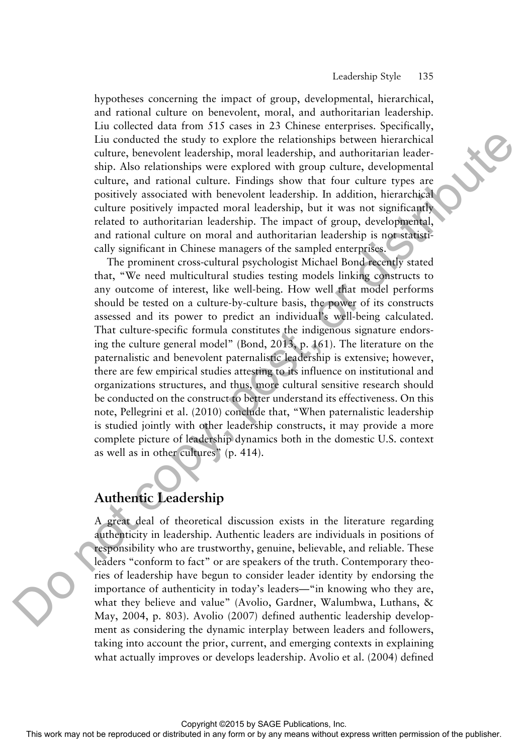hypotheses concerning the impact of group, developmental, hierarchical, and rational culture on benevolent, moral, and authoritarian leadership. Liu collected data from 515 cases in 23 Chinese enterprises. Specifically, Liu conducted the study to explore the relationships between hierarchical culture, benevolent leadership, moral leadership, and authoritarian leadership. Also relationships were explored with group culture, developmental culture, and rational culture. Findings show that four culture types are positively associated with benevolent leadership. In addition, hierarchical culture positively impacted moral leadership, but it was not significantly related to authoritarian leadership. The impact of group, developmental, and rational culture on moral and authoritarian leadership is not statistically significant in Chinese managers of the sampled enterprises.

The prominent cross-cultural psychologist Michael Bond recently stated that, "We need multicultural studies testing models linking constructs to any outcome of interest, like well-being. How well that model performs should be tested on a culture-by-culture basis, the power of its constructs assessed and its power to predict an individual's well-being calculated. That culture-specific formula constitutes the indigenous signature endorsing the culture general model" (Bond, 2013, p. 161). The literature on the paternalistic and benevolent paternalistic leadership is extensive; however, there are few empirical studies attesting to its influence on institutional and organizations structures, and thus, more cultural sensitive research should be conducted on the construct to better understand its effectiveness. On this note, Pellegrini et al. (2010) conclude that, "When paternalistic leadership is studied jointly with other leadership constructs, it may provide a more complete picture of leadership dynamics both in the domestic U.S. context as well as in other cultures" (p. 414). Lin conducts the statistic method is the relationship between highered in any form of the reproduced or distributed in any form or distributed in any form of the publisher. And to relate the control is considered to any m

# **Authentic Leadership**

A great deal of theoretical discussion exists in the literature regarding authenticity in leadership. Authentic leaders are individuals in positions of responsibility who are trustworthy, genuine, believable, and reliable. These leaders "conform to fact" or are speakers of the truth. Contemporary theories of leadership have begun to consider leader identity by endorsing the importance of authenticity in today's leaders—"in knowing who they are, what they believe and value" (Avolio, Gardner, Walumbwa, Luthans, & May, 2004, p. 803). Avolio (2007) defined authentic leadership development as considering the dynamic interplay between leaders and followers, taking into account the prior, current, and emerging contexts in explaining what actually improves or develops leadership. Avolio et al. (2004) defined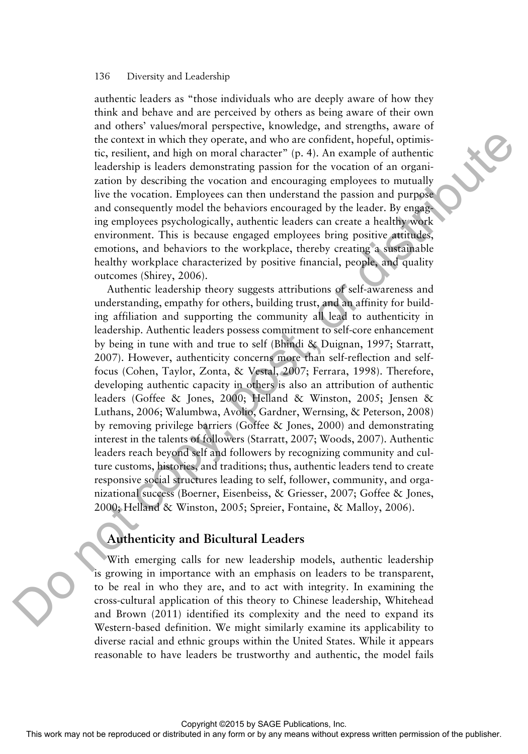authentic leaders as "those individuals who are deeply aware of how they think and behave and are perceived by others as being aware of their own and others' values/moral perspective, knowledge, and strengths, aware of the context in which they operate, and who are confident, hopeful, optimistic, resilient, and high on moral character" (p. 4). An example of authentic leadership is leaders demonstrating passion for the vocation of an organization by describing the vocation and encouraging employees to mutually live the vocation. Employees can then understand the passion and purpose and consequently model the behaviors encouraged by the leader. By engaging employees psychologically, authentic leaders can create a healthy work environment. This is because engaged employees bring positive attitudes, emotions, and behaviors to the workplace, thereby creating a sustainable healthy workplace characterized by positive financial, people, and quality outcomes (Shirey, 2006).

Authentic leadership theory suggests attributions of self-awareness and understanding, empathy for others, building trust, and an affinity for building affiliation and supporting the community all lead to authenticity in leadership. Authentic leaders possess commitment to self-core enhancement by being in tune with and true to self (Bhindi & Duignan, 1997; Starratt, 2007). However, authenticity concerns more than self-reflection and selffocus (Cohen, Taylor, Zonta, & Vestal, 2007; Ferrara, 1998). Therefore, developing authentic capacity in others is also an attribution of authentic leaders (Goffee & Jones, 2000; Helland & Winston, 2005; Jensen & Luthans, 2006; Walumbwa, Avolio, Gardner, Wernsing, & Peterson, 2008) by removing privilege barriers (Goffee & Jones, 2000) and demonstrating interest in the talents of followers (Starratt, 2007; Woods, 2007). Authentic leaders reach beyond self and followers by recognizing community and culture customs, histories, and traditions; thus, authentic leaders tend to create responsive social structures leading to self, follower, community, and organizational success (Boerner, Eisenbeiss, & Griesser, 2007; Goffee & Jones, 2000; Helland & Winston, 2005; Spreier, Fontaine, & Malloy, 2006). the context in the internal matrix and the new content, the studies are the reproduced in the result of the results of the results of the results and content in any means of the results and the publisher. Since the result

## **Authenticity and Bicultural Leaders**

With emerging calls for new leadership models, authentic leadership is growing in importance with an emphasis on leaders to be transparent, to be real in who they are, and to act with integrity. In examining the cross-cultural application of this theory to Chinese leadership, Whitehead and Brown (2011) identified its complexity and the need to expand its Western-based definition. We might similarly examine its applicability to diverse racial and ethnic groups within the United States. While it appears reasonable to have leaders be trustworthy and authentic, the model fails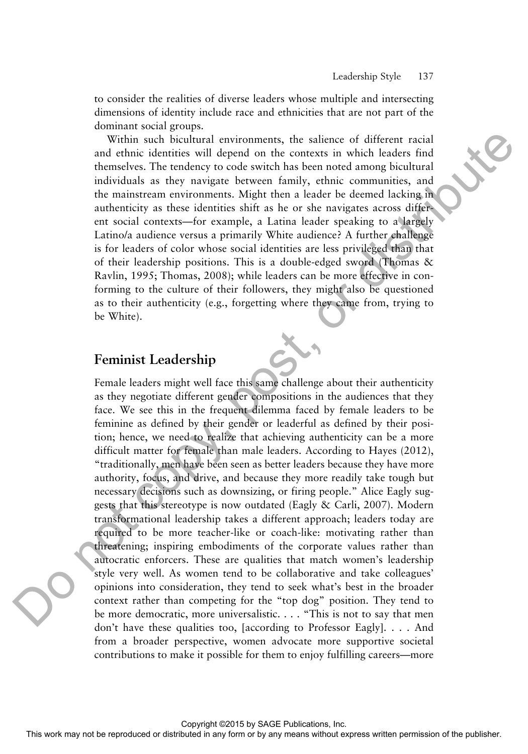to consider the realities of diverse leaders whose multiple and intersecting dimensions of identity include race and ethnicities that are not part of the dominant social groups.

Within such bicultural environments, the salience of different racial and ethnic identities will depend on the contexts in which leaders find themselves. The tendency to code switch has been noted among bicultural individuals as they navigate between family, ethnic communities, and the mainstream environments. Might then a leader be deemed lacking in authenticity as these identities shift as he or she navigates across different social contexts—for example, a Latina leader speaking to a largely Latino/a audience versus a primarily White audience? A further challenge is for leaders of color whose social identities are less privileged than that of their leadership positions. This is a double-edged sword (Thomas & Ravlin, 1995; Thomas, 2008); while leaders can be more effective in conforming to the culture of their followers, they might also be questioned as to their authenticity (e.g., forgetting where they came from, trying to be White).

## **Feminist Leadership**

Female leaders might well face this same challenge about their authenticity as they negotiate different gender compositions in the audiences that they face. We see this in the frequent dilemma faced by female leaders to be feminine as defined by their gender or leaderful as defined by their position; hence, we need to realize that achieving authenticity can be a more difficult matter for female than male leaders. According to Hayes (2012), "traditionally, men have been seen as better leaders because they have more authority, focus, and drive, and because they more readily take tough but necessary decisions such as downsizing, or firing people." Alice Eagly suggests that this stereotype is now outdated (Eagly & Carli, 2007). Modern transformational leadership takes a different approach; leaders today are required to be more teacher-like or coach-like: motivating rather than threatening; inspiring embodiments of the corporate values rather than autocratic enforcers. These are qualities that match women's leadership style very well. As women tend to be collaborative and take colleagues' opinions into consideration, they tend to seek what's best in the broader context rather than competing for the "top dog" position. They tend to be more democratic, more universalistic. . . . "This is not to say that men don't have these qualities too, [according to Professor Eagly]. . . . And from a broader perspective, women advocate more supportive societal contributions to make it possible for them to enjoy fulfilling careers—more Which used is the relation of the same or the same of distributed rations and the<br>melocities. The candence to reade sevelable has been more also means a<br>single in any means when the publisher and in a high relation of the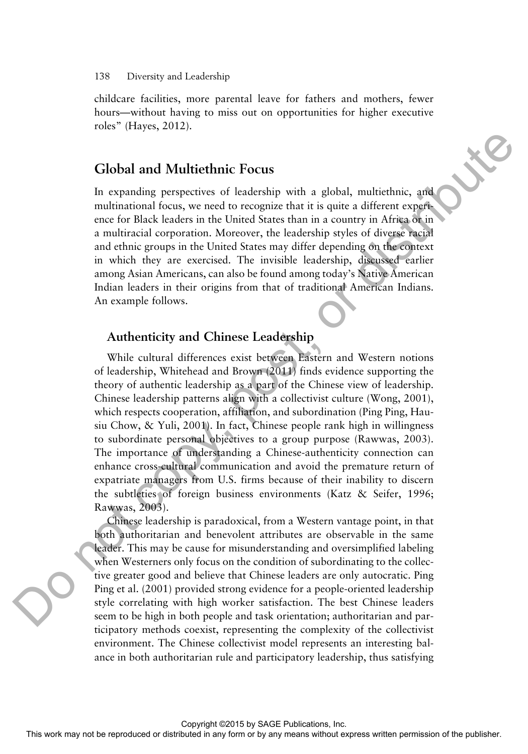childcare facilities, more parental leave for fathers and mothers, fewer hours—without having to miss out on opportunities for higher executive roles" (Hayes, 2012).

## **Global and Multiethnic Focus**

In expanding perspectives of leadership with a global, multiethnic, and multinational focus, we need to recognize that it is quite a different experience for Black leaders in the United States than in a country in Africa or in a multiracial corporation. Moreover, the leadership styles of diverse racial and ethnic groups in the United States may differ depending on the context in which they are exercised. The invisible leadership, discussed earlier among Asian Americans, can also be found among today's Native American Indian leaders in their origins from that of traditional American Indians. An example follows.

## **Authenticity and Chinese Leadership**

While cultural differences exist between Eastern and Western notions of leadership, Whitehead and Brown (2011) finds evidence supporting the theory of authentic leadership as a part of the Chinese view of leadership. Chinese leadership patterns align with a collectivist culture (Wong, 2001), which respects cooperation, affiliation, and subordination (Ping Ping, Hausiu Chow, & Yuli, 2001). In fact, Chinese people rank high in willingness to subordinate personal objectives to a group purpose (Rawwas, 2003). The importance of understanding a Chinese-authenticity connection can enhance cross-cultural communication and avoid the premature return of expatriate managers from U.S. firms because of their inability to discern the subtleties of foreign business environments (Katz & Seifer, 1996; Rawwas, 2003). Global and Multiethnic Focus<br>
In expending properties of leadership with a glubal, unihieliving and<br>
enter for Phask health in the United States when it a country in Africa Comparison<br>
a multinatial convention. Moreover,

Chinese leadership is paradoxical, from a Western vantage point, in that both authoritarian and benevolent attributes are observable in the same leader. This may be cause for misunderstanding and oversimplified labeling when Westerners only focus on the condition of subordinating to the collective greater good and believe that Chinese leaders are only autocratic. Ping Ping et al. (2001) provided strong evidence for a people-oriented leadership style correlating with high worker satisfaction. The best Chinese leaders seem to be high in both people and task orientation; authoritarian and participatory methods coexist, representing the complexity of the collectivist environment. The Chinese collectivist model represents an interesting balance in both authoritarian rule and participatory leadership, thus satisfying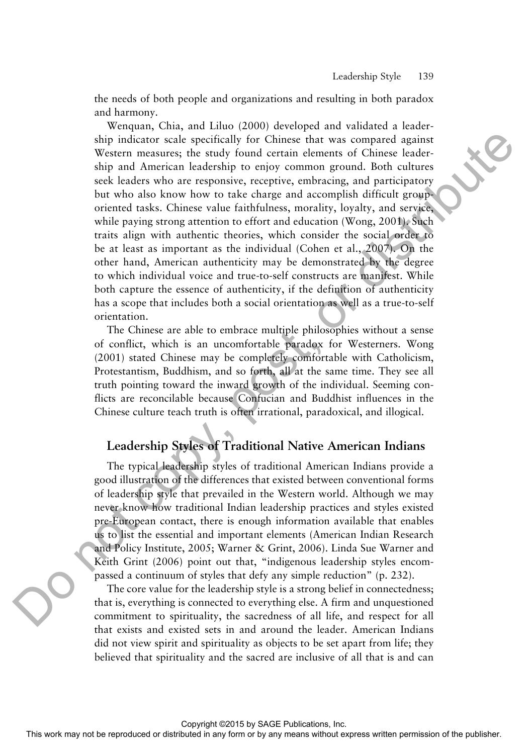the needs of both people and organizations and resulting in both paradox and harmony.

Wenquan, Chia, and Liluo (2000) developed and validated a leadership indicator scale specifically for Chinese that was compared against Western measures; the study found certain elements of Chinese leadership and American leadership to enjoy common ground. Both cultures seek leaders who are responsive, receptive, embracing, and participatory but who also know how to take charge and accomplish difficult grouporiented tasks. Chinese value faithfulness, morality, loyalty, and service, while paying strong attention to effort and education (Wong, 2001). Such traits align with authentic theories, which consider the social order to be at least as important as the individual (Cohen et al., 2007). On the other hand, American authenticity may be demonstrated by the degree to which individual voice and true-to-self constructs are manifest. While both capture the essence of authenticity, if the definition of authenticity has a scope that includes both a social orientation as well as a true-to-self orientation. sivip interaction scale specifically the relation or distributed or distributed in any form or produced or distribution or  $\mathbb{R}^2$  and  $\mathbb{R}^2$  any form or by any distributed in a single computed Bach columns and any

The Chinese are able to embrace multiple philosophies without a sense of conflict, which is an uncomfortable paradox for Westerners. Wong (2001) stated Chinese may be completely comfortable with Catholicism, Protestantism, Buddhism, and so forth, all at the same time. They see all truth pointing toward the inward growth of the individual. Seeming conflicts are reconcilable because Confucian and Buddhist influences in the Chinese culture teach truth is often irrational, paradoxical, and illogical.

# **Leadership Styles of Traditional Native American Indians**

The typical leadership styles of traditional American Indians provide a good illustration of the differences that existed between conventional forms of leadership style that prevailed in the Western world. Although we may never know how traditional Indian leadership practices and styles existed pre-European contact, there is enough information available that enables us to list the essential and important elements (American Indian Research and Policy Institute, 2005; Warner & Grint, 2006). Linda Sue Warner and Keith Grint (2006) point out that, "indigenous leadership styles encompassed a continuum of styles that defy any simple reduction" (p. 232).

The core value for the leadership style is a strong belief in connectedness; that is, everything is connected to everything else. A firm and unquestioned commitment to spirituality, the sacredness of all life, and respect for all that exists and existed sets in and around the leader. American Indians did not view spirit and spirituality as objects to be set apart from life; they believed that spirituality and the sacred are inclusive of all that is and can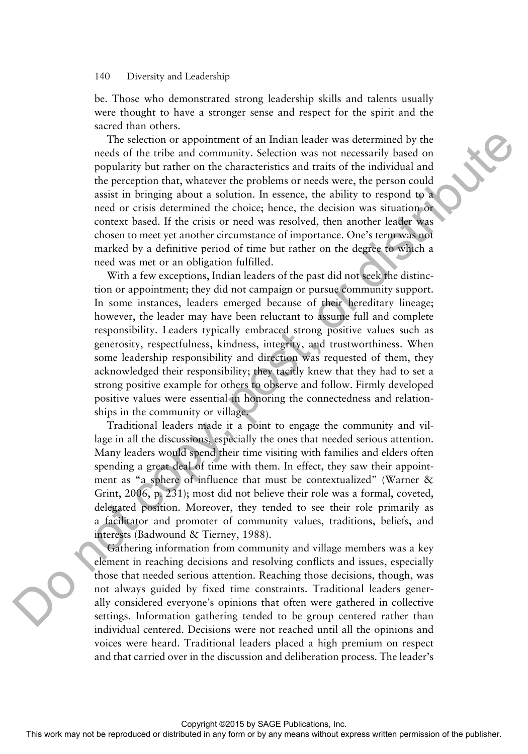be. Those who demonstrated strong leadership skills and talents usually were thought to have a stronger sense and respect for the spirit and the sacred than others.

The selection or appointment of an Indian leader was determined by the needs of the tribe and community. Selection was not necessarily based on popularity but rather on the characteristics and traits of the individual and the perception that, whatever the problems or needs were, the person could assist in bringing about a solution. In essence, the ability to respond to a need or crisis determined the choice; hence, the decision was situation or context based. If the crisis or need was resolved, then another leader was chosen to meet yet another circumstance of importance. One's term was not marked by a definitive period of time but rather on the degree to which a need was met or an obligation fulfilled.

With a few exceptions, Indian leaders of the past did not seek the distinction or appointment; they did not campaign or pursue community support. In some instances, leaders emerged because of their hereditary lineage; however, the leader may have been reluctant to assume full and complete responsibility. Leaders typically embraced strong positive values such as generosity, respectfulness, kindness, integrity, and trustworthiness. When some leadership responsibility and direction was requested of them, they acknowledged their responsibility; they tacitly knew that they had to set a strong positive example for others to observe and follow. Firmly developed positive values were essential in honoring the connectedness and relationships in the community or village. The electronic may notion and the reproduced or the distributed or by any means with permission but the reproduced by any means with the reproduced or distributed in the publisher. The second or distributed in any form or

Traditional leaders made it a point to engage the community and village in all the discussions, especially the ones that needed serious attention. Many leaders would spend their time visiting with families and elders often spending a great deal of time with them. In effect, they saw their appointment as "a sphere of influence that must be contextualized" (Warner & Grint, 2006, p. 231); most did not believe their role was a formal, coveted, delegated position. Moreover, they tended to see their role primarily as a facilitator and promoter of community values, traditions, beliefs, and interests (Badwound & Tierney, 1988).

Gathering information from community and village members was a key element in reaching decisions and resolving conflicts and issues, especially those that needed serious attention. Reaching those decisions, though, was not always guided by fixed time constraints. Traditional leaders generally considered everyone's opinions that often were gathered in collective settings. Information gathering tended to be group centered rather than individual centered. Decisions were not reached until all the opinions and voices were heard. Traditional leaders placed a high premium on respect and that carried over in the discussion and deliberation process. The leader's

Copyright ©2015 by SAGE Publications, Inc.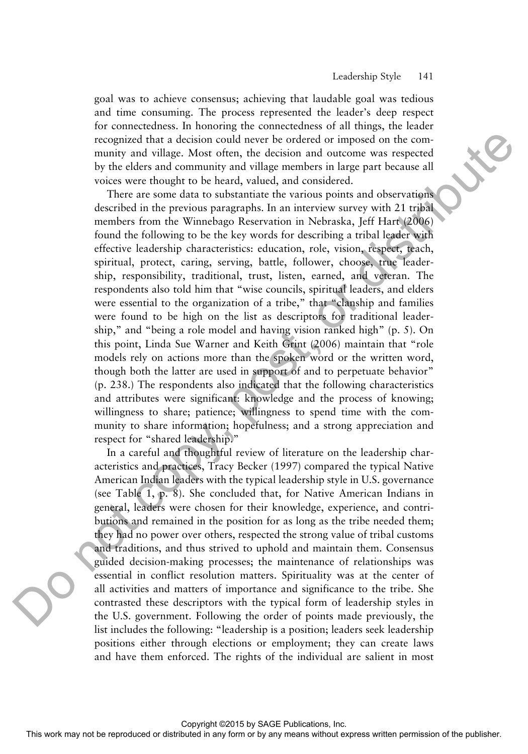goal was to achieve consensus; achieving that laudable goal was tedious and time consuming. The process represented the leader's deep respect for connectedness. In honoring the connectedness of all things, the leader recognized that a decision could never be ordered or imposed on the community and village. Most often, the decision and outcome was respected by the elders and community and village members in large part because all voices were thought to be heard, valued, and considered.

There are some data to substantiate the various points and observations described in the previous paragraphs. In an interview survey with 21 tribal members from the Winnebago Reservation in Nebraska, Jeff Hart (2006) found the following to be the key words for describing a tribal leader with effective leadership characteristics: education, role, vision, respect, teach, spiritual, protect, caring, serving, battle, follower, choose, true leadership, responsibility, traditional, trust, listen, earned, and veteran. The respondents also told him that "wise councils, spiritual leaders, and elders were essential to the organization of a tribe," that "clanship and families were found to be high on the list as descriptors for traditional leadership," and "being a role model and having vision ranked high" (p. 5). On this point, Linda Sue Warner and Keith Grint (2006) maintain that "role models rely on actions more than the spoken word or the written word, though both the latter are used in support of and to perpetuate behavior" (p. 238.) The respondents also indicated that the following characteristics and attributes were significant: knowledge and the process of knowing; willingness to share; patience; willingness to spend time with the community to share information; hopefulness; and a strong appreciation and respect for "shared leadership." recognized that a decision or bulk may not be column the control or the control or the relation and considered.<br>The the rest results with the second or the mass with the results were the results with the second or the sec

In a careful and thoughtful review of literature on the leadership characteristics and practices, Tracy Becker (1997) compared the typical Native American Indian leaders with the typical leadership style in U.S. governance (see Table 1, p. 8). She concluded that, for Native American Indians in general, leaders were chosen for their knowledge, experience, and contributions and remained in the position for as long as the tribe needed them; they had no power over others, respected the strong value of tribal customs and traditions, and thus strived to uphold and maintain them. Consensus guided decision-making processes; the maintenance of relationships was essential in conflict resolution matters. Spirituality was at the center of all activities and matters of importance and significance to the tribe. She contrasted these descriptors with the typical form of leadership styles in the U.S. government. Following the order of points made previously, the list includes the following: "leadership is a position; leaders seek leadership positions either through elections or employment; they can create laws and have them enforced. The rights of the individual are salient in most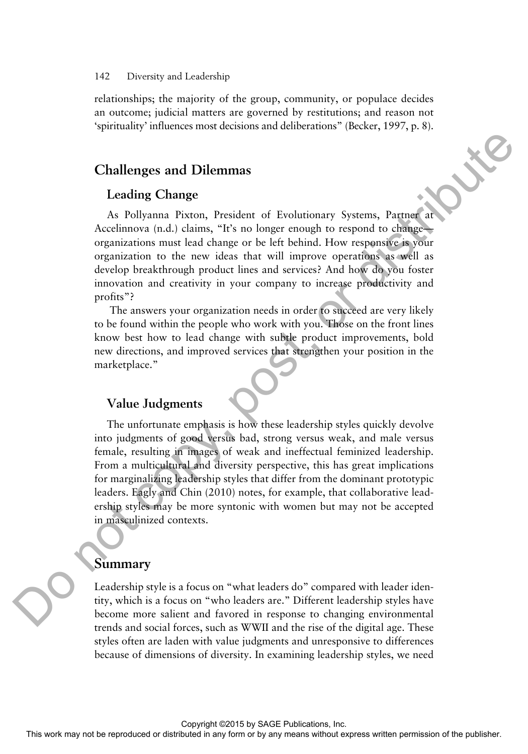relationships; the majority of the group, community, or populace decides an outcome; judicial matters are governed by restitutions; and reason not 'spirituality' influences most decisions and deliberations" (Becker, 1997, p. 8).

## **Challenges and Dilemmas**

#### **Leading Change**

As Pollyanna Pixton, President of Evolutionary Systems, Partner at Accelinnova (n.d.) claims, "It's no longer enough to respond to change organizations must lead change or be left behind. How responsive is your organization to the new ideas that will improve operations as well as develop breakthrough product lines and services? And how do you foster innovation and creativity in your company to increase productivity and profits"?

 The answers your organization needs in order to succeed are very likely to be found within the people who work with you. Those on the front lines know best how to lead change with subtle product improvements, bold new directions, and improved services that strengthen your position in the marketplace."

#### **Value Judgments**

The unfortunate emphasis is how these leadership styles quickly devolve into judgments of good versus bad, strong versus weak, and male versus female, resulting in images of weak and ineffectual feminized leadership. From a multicultural and diversity perspective, this has great implications for marginalizing leadership styles that differ from the dominant prototypic leaders. Eagly and Chin (2010) notes, for example, that collaborative leadership styles may be more syntonic with women but may not be accepted in masculinized contexts. Challenges and Dilemmas<br>
As Polyana. Pixton, President of Livelutionary Systems, Partner<br>
As Polyana. Bixton, Pixton longer any increase and the distributed in any fixton or be reproduced in a computed in any fixton or by

# **Summary**

Leadership style is a focus on "what leaders do" compared with leader identity, which is a focus on "who leaders are." Different leadership styles have become more salient and favored in response to changing environmental trends and social forces, such as WWII and the rise of the digital age. These styles often are laden with value judgments and unresponsive to differences because of dimensions of diversity. In examining leadership styles, we need

Copyright ©2015 by SAGE Publications, Inc.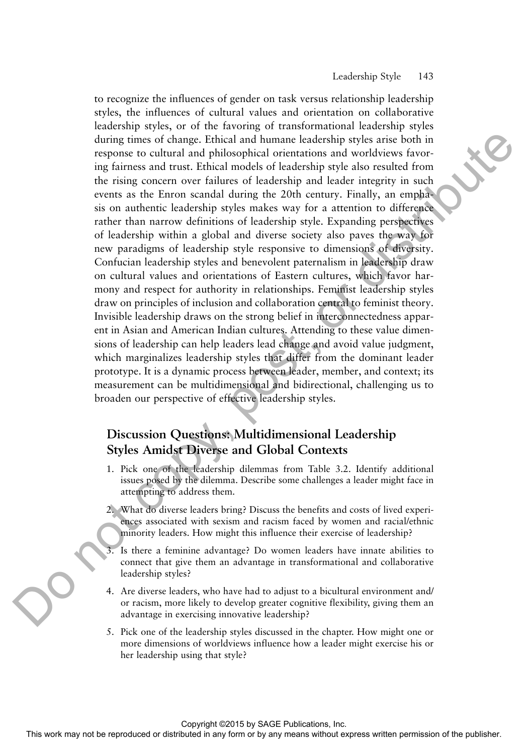to recognize the influences of gender on task versus relationship leadership styles, the influences of cultural values and orientation on collaborative leadership styles, or of the favoring of transformational leadership styles during times of change. Ethical and humane leadership styles arise both in response to cultural and philosophical orientations and worldviews favoring fairness and trust. Ethical models of leadership style also resulted from the rising concern over failures of leadership and leader integrity in such events as the Enron scandal during the 20th century. Finally, an emphasis on authentic leadership styles makes way for a attention to difference rather than narrow definitions of leadership style. Expanding perspectives of leadership within a global and diverse society also paves the way for new paradigms of leadership style responsive to dimensions of diversity. Confucian leadership styles and benevolent paternalism in leadership draw on cultural values and orientations of Eastern cultures, which favor harmony and respect for authority in relationships. Feminist leadership styles draw on principles of inclusion and collaboration central to feminist theory. Invisible leadership draws on the strong belief in interconnectedness apparent in Asian and American Indian cultures. Attending to these value dimensions of leadership can help leaders lead change and avoid value judgment, which marginalizes leadership styles that differ from the dominant leader prototype. It is a dynamic process between leader, member, and context; its measurement can be multidimensional and bidirectional, challenging us to broaden our perspective of effective leadership styles. during times of clauster and lowers. Ethical modulated in the relation syle anisotropic modulated in any form or sinus in the relation of the claim or both in a contributed in the relation of the publisher. The comparison

# **Discussion Questions: Multidimensional Leadership Styles Amidst Diverse and Global Contexts**

- 1. Pick one of the leadership dilemmas from Table 3.2. Identify additional issues posed by the dilemma. Describe some challenges a leader might face in attempting to address them.
- 2. What do diverse leaders bring? Discuss the benefits and costs of lived experiences associated with sexism and racism faced by women and racial/ethnic minority leaders. How might this influence their exercise of leadership?
	- Is there a feminine advantage? Do women leaders have innate abilities to connect that give them an advantage in transformational and collaborative leadership styles?
- 4. Are diverse leaders, who have had to adjust to a bicultural environment and/ or racism, more likely to develop greater cognitive flexibility, giving them an advantage in exercising innovative leadership?
- 5. Pick one of the leadership styles discussed in the chapter. How might one or more dimensions of worldviews influence how a leader might exercise his or her leadership using that style?

Copyright ©2015 by SAGE Publications, Inc.